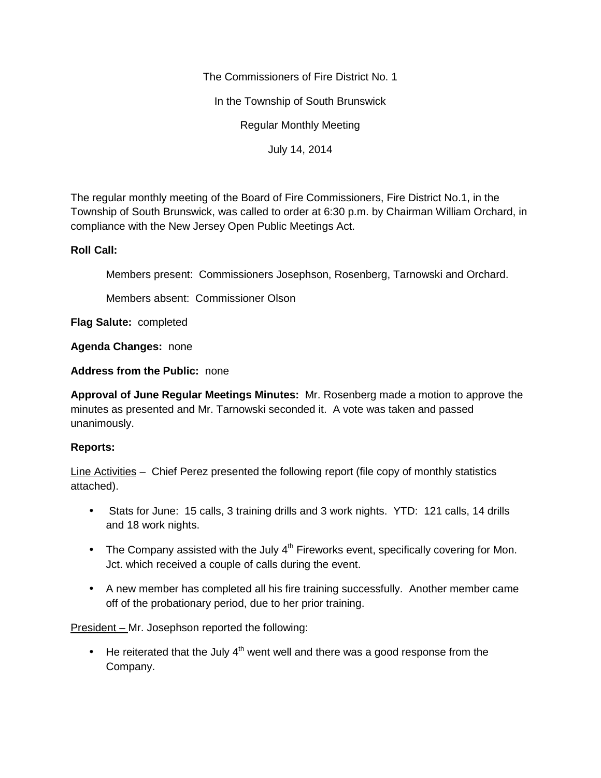The Commissioners of Fire District No. 1

In the Township of South Brunswick

Regular Monthly Meeting

July 14, 2014

The regular monthly meeting of the Board of Fire Commissioners, Fire District No.1, in the Township of South Brunswick, was called to order at 6:30 p.m. by Chairman William Orchard, in compliance with the New Jersey Open Public Meetings Act.

# **Roll Call:**

Members present: Commissioners Josephson, Rosenberg, Tarnowski and Orchard.

Members absent: Commissioner Olson

**Flag Salute:** completed

**Agenda Changes:** none

**Address from the Public:** none

**Approval of June Regular Meetings Minutes:** Mr. Rosenberg made a motion to approve the minutes as presented and Mr. Tarnowski seconded it. A vote was taken and passed unanimously.

# **Reports:**

Line Activities – Chief Perez presented the following report (file copy of monthly statistics attached).

- Stats for June: 15 calls, 3 training drills and 3 work nights. YTD: 121 calls, 14 drills and 18 work nights.
- The Company assisted with the July  $4<sup>th</sup>$  Fireworks event, specifically covering for Mon. Jct. which received a couple of calls during the event.
- A new member has completed all his fire training successfully. Another member came off of the probationary period, due to her prior training.

President – Mr. Josephson reported the following:

 $\bullet$  He reiterated that the July 4<sup>th</sup> went well and there was a good response from the Company.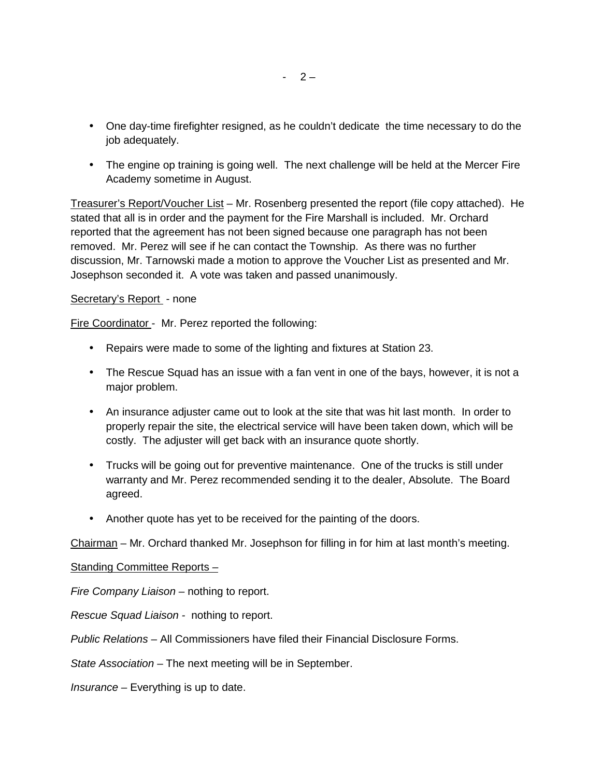- One day-time firefighter resigned, as he couldn't dedicate the time necessary to do the job adequately.
- The engine op training is going well. The next challenge will be held at the Mercer Fire Academy sometime in August.

Treasurer's Report/Voucher List – Mr. Rosenberg presented the report (file copy attached). He stated that all is in order and the payment for the Fire Marshall is included. Mr. Orchard reported that the agreement has not been signed because one paragraph has not been removed. Mr. Perez will see if he can contact the Township. As there was no further discussion, Mr. Tarnowski made a motion to approve the Voucher List as presented and Mr. Josephson seconded it. A vote was taken and passed unanimously.

### Secretary's Report - none

Fire Coordinator - Mr. Perez reported the following:

- Repairs were made to some of the lighting and fixtures at Station 23.
- The Rescue Squad has an issue with a fan vent in one of the bays, however, it is not a major problem.
- An insurance adjuster came out to look at the site that was hit last month. In order to properly repair the site, the electrical service will have been taken down, which will be costly. The adjuster will get back with an insurance quote shortly.
- Trucks will be going out for preventive maintenance. One of the trucks is still under warranty and Mr. Perez recommended sending it to the dealer, Absolute. The Board agreed.
- Another quote has yet to be received for the painting of the doors.

Chairman – Mr. Orchard thanked Mr. Josephson for filling in for him at last month's meeting.

#### Standing Committee Reports –

*Fire Company Liaison –* nothing to report.

*Rescue Squad Liaison -* nothing to report.

*Public Relations –* All Commissioners have filed their Financial Disclosure Forms.

*State Association –* The next meeting will be in September.

*Insurance –* Everything is up to date.